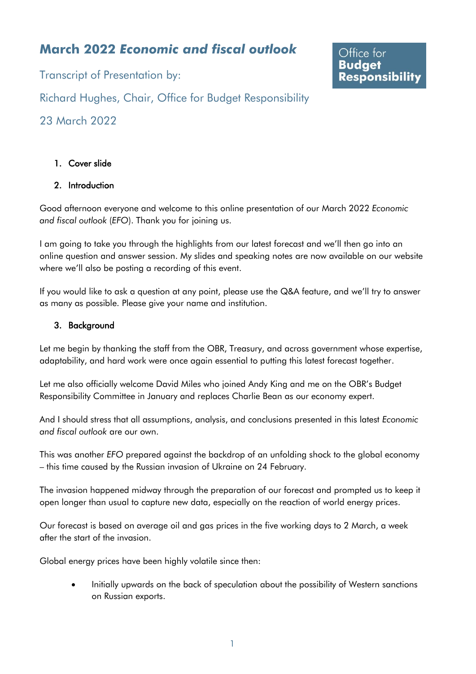# **March 2022** *Economic and fiscal outlook*

Transcript of Presentation by:

Office for **Budget Responsibility** 

Richard Hughes, Chair, Office for Budget Responsibility

23 March 2022

# 1. Cover slide

## 2. Introduction

Good afternoon everyone and welcome to this online presentation of our March 2022 *Economic and fiscal outlook* (*EFO*). Thank you for joining us.

I am going to take you through the highlights from our latest forecast and we'll then go into an online question and answer session. My slides and speaking notes are now available on our website where we'll also be posting a recording of this event.

If you would like to ask a question at any point, please use the Q&A feature, and we'll try to answer as many as possible. Please give your name and institution.

#### 3. Background

Let me begin by thanking the staff from the OBR, Treasury, and across government whose expertise, adaptability, and hard work were once again essential to putting this latest forecast together.

Let me also officially welcome David Miles who joined Andy King and me on the OBR's Budget Responsibility Committee in January and replaces Charlie Bean as our economy expert.

And I should stress that all assumptions, analysis, and conclusions presented in this latest *Economic and fiscal outlook* are our own.

This was another *EFO* prepared against the backdrop of an unfolding shock to the global economy – this time caused by the Russian invasion of Ukraine on 24 February.

The invasion happened midway through the preparation of our forecast and prompted us to keep it open longer than usual to capture new data, especially on the reaction of world energy prices.

Our forecast is based on average oil and gas prices in the five working days to 2 March, a week after the start of the invasion.

Global energy prices have been highly volatile since then:

• Initially upwards on the back of speculation about the possibility of Western sanctions on Russian exports.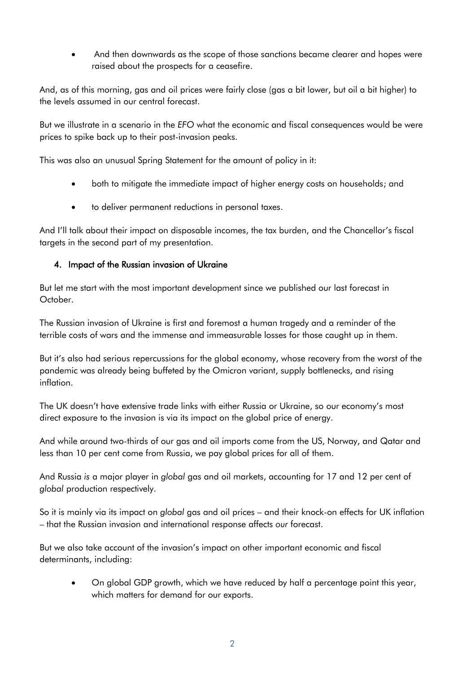• And then downwards as the scope of those sanctions became clearer and hopes were raised about the prospects for a ceasefire.

And, as of this morning, gas and oil prices were fairly close (gas a bit lower, but oil a bit higher) to the levels assumed in our central forecast.

But we illustrate in a scenario in the *EFO* what the economic and fiscal consequences would be were prices to spike back up to their post-invasion peaks.

This was also an unusual Spring Statement for the amount of policy in it:

- both to mitigate the immediate impact of higher energy costs on households; and
- to deliver permanent reductions in personal taxes.

And I'll talk about their impact on disposable incomes, the tax burden, and the Chancellor's fiscal targets in the second part of my presentation.

## 4. Impact of the Russian invasion of Ukraine

But let me start with the most important development since we published our last forecast in October.

The Russian invasion of Ukraine is first and foremost a human tragedy and a reminder of the terrible costs of wars and the immense and immeasurable losses for those caught up in them.

But it's also had serious repercussions for the global economy, whose recovery from the worst of the pandemic was already being buffeted by the Omicron variant, supply bottlenecks, and rising inflation.

The UK doesn't have extensive trade links with either Russia or Ukraine, so our economy's most direct exposure to the invasion is via its impact on the global price of energy.

And while around two-thirds of our gas and oil imports come from the US, Norway, and Qatar and less than 10 per cent come from Russia, we pay global prices for all of them.

And Russia *is* a major player in *global* gas and oil markets, accounting for 17 and 12 per cent of *global* production respectively.

So it is mainly via its impact on *global* gas and oil prices – and their knock-on effects for UK inflation – that the Russian invasion and international response affects *our* forecast.

But we also take account of the invasion's impact on other important economic and fiscal determinants, including:

• On global GDP growth, which we have reduced by half a percentage point this year, which matters for demand for our exports.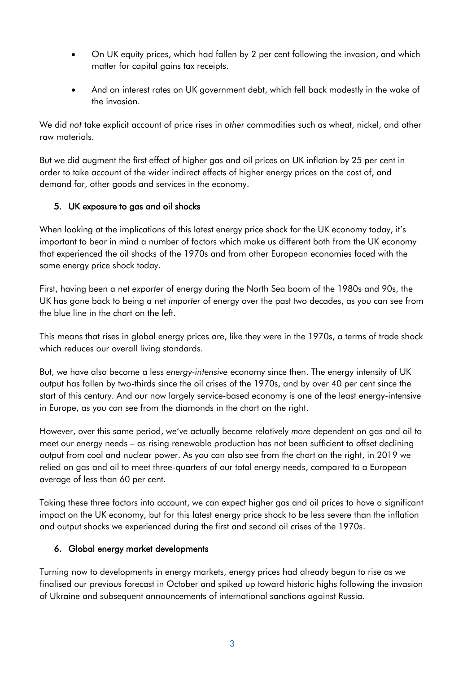- On UK equity prices, which had fallen by 2 per cent following the invasion, and which matter for capital gains tax receipts.
- And on interest rates on UK government debt, which fell back modestly in the wake of the invasion.

We did *not* take explicit account of price rises in *other* commodities such as wheat, nickel, and other raw materials.

But we did augment the first effect of higher gas and oil prices on UK inflation by 25 per cent in order to take account of the wider indirect effects of higher energy prices on the cost of, and demand for, other goods and services in the economy.

#### 5. UK exposure to gas and oil shocks

When looking at the implications of this latest energy price shock for the UK economy today, it's important to bear in mind a number of factors which make us different both from the UK economy that experienced the oil shocks of the 1970s and from other European economies faced with the same energy price shock today.

First, having been a net *exporter* of energy during the North Sea boom of the 1980s and 90s, the UK has gone back to being a net *importer* of energy over the past two decades, as you can see from the blue line in the chart on the left.

This means that rises in global energy prices are, like they were in the 1970s, a terms of trade shock which reduces our overall living standards.

But, we have also become a less *energy-intensive* economy since then. The energy intensity of UK output has fallen by two-thirds since the oil crises of the 1970s, and by over 40 per cent since the start of this century. And our now largely service-based economy is one of the least energy-intensive in Europe, as you can see from the diamonds in the chart on the right.

However, over this same period, we've actually become relatively *more* dependent on gas and oil to meet our energy needs – as rising renewable production has not been sufficient to offset declining output from coal and nuclear power. As you can also see from the chart on the right, in 2019 we relied on gas and oil to meet three-quarters of our total energy needs, compared to a European average of less than 60 per cent.

Taking these three factors into account, we can expect higher gas and oil prices to have a significant impact on the UK economy, but for this latest energy price shock to be less severe than the inflation and output shocks we experienced during the first and second oil crises of the 1970s.

#### 6. Global energy market developments

Turning now to developments in energy markets, energy prices had already begun to rise as we finalised our previous forecast in October and spiked up toward historic highs following the invasion of Ukraine and subsequent announcements of international sanctions against Russia.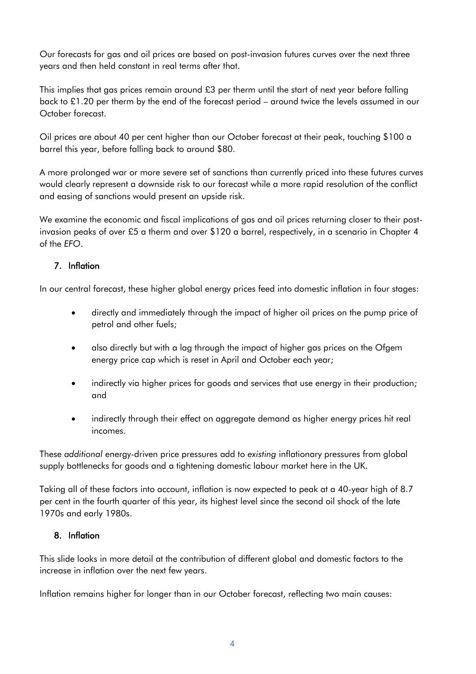Our forecasts for gas and oil prices are based on post-invasion futures curves over the next three years and then held constant in real terms after that.

This implies that gas prices remain around £3 per therm until the start of next year before falling back to £1.20 per therm by the end of the forecast period – around twice the levels assumed in our October forecast.

Oil prices are about 40 per cent higher than our October forecast at their peak, touching \$100 a barrel this year, before falling back to around \$80.

A more prolonged war or more severe set of sanctions than currently priced into these futures curves would clearly represent a downside risk to our forecast while a more rapid resolution of the conflict and easing of sanctions would present an upside risk.

We examine the economic and fiscal implications of gas and oil prices returning closer to their postinvasion peaks of over £5 a therm and over \$120 a barrel, respectively, in a scenario in Chapter 4 of the *EFO*.

## 7. Inflation

In our central forecast, these higher global energy prices feed into domestic inflation in four stages:

- directly and immediately through the impact of higher oil prices on the pump price of petrol and other fuels;
- also directly but with a lag through the impact of higher gas prices on the Ofgem energy price cap which is reset in April and October each year;
- indirectly via higher prices for goods and services that use energy in their production; and
- indirectly through their effect on aggregate demand as higher energy prices hit real incomes.

These *additional* energy-driven price pressures add to *existing* inflationary pressures from global supply bottlenecks for goods and a tightening domestic labour market here in the UK.

Taking all of these factors into account, inflation is now expected to peak at a 40-year high of 8.7 per cent in the fourth quarter of this year, its highest level since the second oil shock of the late 1970s and early 1980s.

#### 8. Inflation

This slide looks in more detail at the contribution of different global and domestic factors to the increase in inflation over the next few years.

Inflation remains higher for longer than in our October forecast, reflecting two main causes: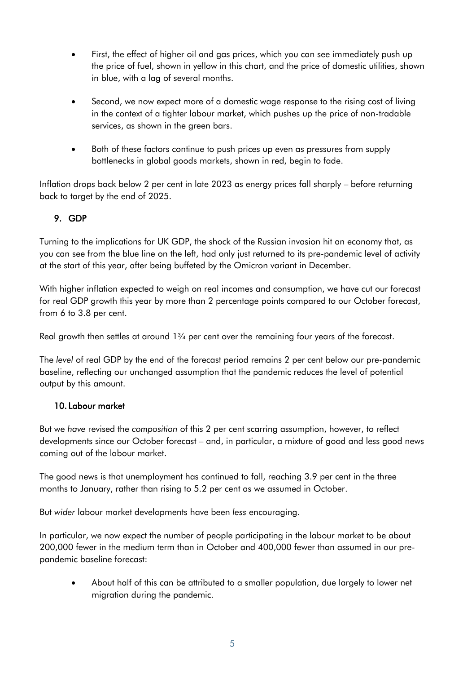- First, the effect of higher oil and gas prices, which you can see immediately push up the price of fuel, shown in yellow in this chart, and the price of domestic utilities, shown in blue, with a lag of several months.
- Second, we now expect more of a domestic wage response to the rising cost of living in the context of a tighter labour market, which pushes up the price of non-tradable services, as shown in the green bars.
- Both of these factors continue to push prices up even as pressures from supply bottlenecks in global goods markets, shown in red, begin to fade.

Inflation drops back below 2 per cent in late 2023 as energy prices fall sharply – before returning back to target by the end of 2025.

## 9. GDP

Turning to the implications for UK GDP, the shock of the Russian invasion hit an economy that, as you can see from the blue line on the left, had only just returned to its pre-pandemic level of activity at the start of this year, after being buffeted by the Omicron variant in December.

With higher inflation expected to weigh on real incomes and consumption, we have cut our forecast for real GDP growth this year by more than 2 percentage points compared to our October forecast, from 6 to 3.8 per cent.

Real growth then settles at around 1<sup>3</sup>/4 per cent over the remaining four years of the forecast.

The *level* of real GDP by the end of the forecast period remains 2 per cent below our pre-pandemic baseline, reflecting our unchanged assumption that the pandemic reduces the level of potential output by this amount.

#### 10. Labour market

But we *have* revised the *composition* of this 2 per cent scarring assumption, however, to reflect developments since our October forecast – and, in particular, a mixture of good and less good news coming out of the labour market.

The good news is that unemployment has continued to fall, reaching 3.9 per cent in the three months to January, rather than rising to 5.2 per cent as we assumed in October.

But *wider* labour market developments have been *less* encouraging.

In particular, we now expect the number of people participating in the labour market to be about 200,000 fewer in the medium term than in October and 400,000 fewer than assumed in our prepandemic baseline forecast:

• About half of this can be attributed to a smaller population, due largely to lower net migration during the pandemic.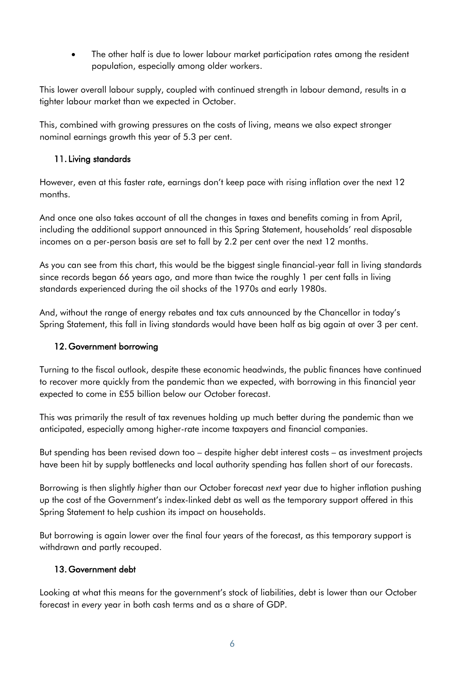• The other half is due to lower labour market participation rates among the resident population, especially among older workers.

This lower overall labour supply, coupled with continued strength in labour demand, results in a tighter labour market than we expected in October.

This, combined with growing pressures on the costs of living, means we also expect stronger nominal earnings growth this year of 5.3 per cent.

#### 11. Living standards

However, even at this faster rate, earnings don't keep pace with rising inflation over the next 12 months.

And once one also takes account of all the changes in taxes and benefits coming in from April, including the additional support announced in this Spring Statement, households' real disposable incomes on a per-person basis are set to fall by 2.2 per cent over the next 12 months.

As you can see from this chart, this would be the biggest single financial-year fall in living standards since records began 66 years ago, and more than twice the roughly 1 per cent falls in living standards experienced during the oil shocks of the 1970s and early 1980s.

And, without the range of energy rebates and tax cuts announced by the Chancellor in today's Spring Statement, this fall in living standards would have been half as big again at over 3 per cent.

#### 12. Government borrowing

Turning to the fiscal outlook, despite these economic headwinds, the public finances have continued to recover more quickly from the pandemic than we expected, with borrowing in this financial year expected to come in £55 billion below our October forecast.

This was primarily the result of tax revenues holding up much better during the pandemic than we anticipated, especially among higher-rate income taxpayers and financial companies.

But spending has been revised down too – despite higher debt interest costs – as investment projects have been hit by supply bottlenecks and local authority spending has fallen short of our forecasts.

Borrowing is then slightly *higher* than our October forecast *next* year due to higher inflation pushing up the cost of the Government's index-linked debt as well as the temporary support offered in this Spring Statement to help cushion its impact on households.

But borrowing is again lower over the final four years of the forecast, as this temporary support is withdrawn and partly recouped.

#### 13. Government debt

Looking at what this means for the government's stock of liabilities, debt is lower than our October forecast in *every* year in both cash terms and as a share of GDP.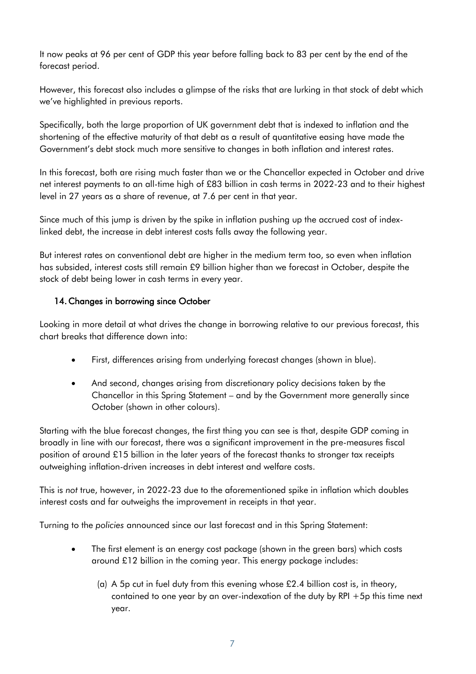It now peaks at 96 per cent of GDP this year before falling back to 83 per cent by the end of the forecast period.

However, this forecast also includes a glimpse of the risks that are lurking in that stock of debt which we've highlighted in previous reports.

Specifically, both the large proportion of UK government debt that is indexed to inflation and the shortening of the effective maturity of that debt as a result of quantitative easing have made the Government's debt stock much more sensitive to changes in both inflation and interest rates.

In this forecast, both are rising much faster than we or the Chancellor expected in October and drive net interest payments to an all-time high of £83 billion in cash terms in 2022-23 and to their highest level in 27 years as a share of revenue, at 7.6 per cent in that year.

Since much of this jump is driven by the spike in inflation pushing up the accrued cost of indexlinked debt, the increase in debt interest costs falls away the following year.

But interest rates on conventional debt are higher in the medium term too, so even when inflation has subsided, interest costs still remain £9 billion higher than we forecast in October, despite the stock of debt being lower in cash terms in every year.

#### 14. Changes in borrowing since October

Looking in more detail at what drives the change in borrowing relative to our previous forecast, this chart breaks that difference down into:

- First, differences arising from underlying forecast changes (shown in blue).
- And second, changes arising from discretionary policy decisions taken by the Chancellor in this Spring Statement – and by the Government more generally since October (shown in other colours).

Starting with the blue forecast changes, the first thing you can see is that, despite GDP coming in broadly in line with our forecast, there was a significant improvement in the pre-measures fiscal position of around £15 billion in the later years of the forecast thanks to stronger tax receipts outweighing inflation-driven increases in debt interest and welfare costs.

This is *not* true, however, in 2022-23 due to the aforementioned spike in inflation which doubles interest costs and far outweighs the improvement in receipts in that year.

Turning to the *policies* announced since our last forecast and in this Spring Statement:

- The first element is an energy cost package (shown in the green bars) which costs around £12 billion in the coming year. This energy package includes:
	- (a) A 5p cut in fuel duty from this evening whose  $£2.4$  billion cost is, in theory, contained to one year by an over-indexation of the duty by RPI +5p this time next year.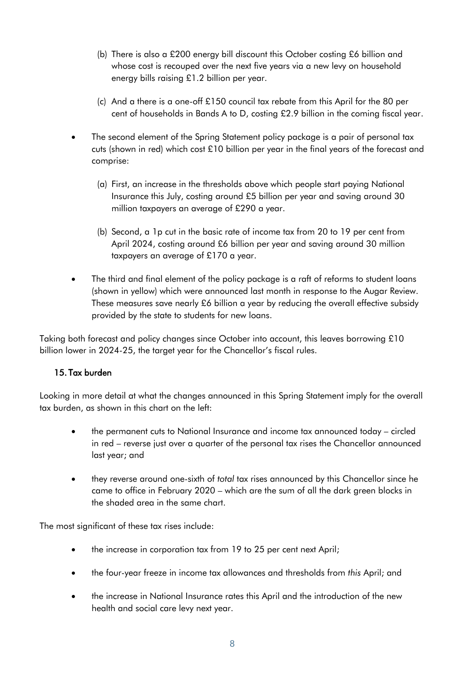- (b) There is also a £200 energy bill discount this October costing £6 billion and whose cost is recouped over the next five years via a new levy on household energy bills raising £1.2 billion per year.
- (c) And a there is a one-off £150 council tax rebate from this April for the 80 per cent of households in Bands A to D, costing £2.9 billion in the coming fiscal year.
- The second element of the Spring Statement policy package is a pair of personal tax cuts (shown in red) which cost £10 billion per year in the final years of the forecast and comprise:
	- (a) First, an increase in the thresholds above which people start paying National Insurance this July, costing around £5 billion per year and saving around 30 million taxpayers an average of £290 a year.
	- (b) Second, a 1p cut in the basic rate of income tax from 20 to 19 per cent from April 2024, costing around £6 billion per year and saving around 30 million taxpayers an average of £170 a year.
- The third and final element of the policy package is a raft of reforms to student loans (shown in yellow) which were announced last month in response to the Augar Review. These measures save nearly £6 billion a year by reducing the overall effective subsidy provided by the state to students for new loans.

Taking both forecast and policy changes since October into account, this leaves borrowing £10 billion lower in 2024-25, the target year for the Chancellor's fiscal rules.

#### 15. Tax burden

Looking in more detail at what the changes announced in this Spring Statement imply for the overall tax burden, as shown in this chart on the left:

- the permanent cuts to National Insurance and income tax announced today circled in red – reverse just over a quarter of the personal tax rises the Chancellor announced last year; and
- they reverse around one-sixth of *total* tax rises announced by this Chancellor since he came to office in February 2020 – which are the sum of all the dark green blocks in the shaded area in the same chart.

The most significant of these tax rises include:

- the increase in corporation tax from 19 to 25 per cent next April;
- the four-year freeze in income tax allowances and thresholds from *this* April; and
- the increase in National Insurance rates this April and the introduction of the new health and social care levy next year.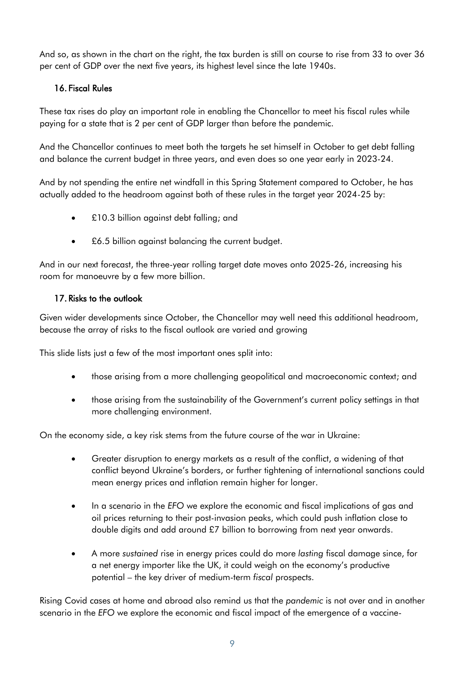And so, as shown in the chart on the right, the tax burden is still on course to rise from 33 to over 36 per cent of GDP over the next five years, its highest level since the late 1940s.

#### 16. Fiscal Rules

These tax rises do play an important role in enabling the Chancellor to meet his fiscal rules while paying for a state that is 2 per cent of GDP larger than before the pandemic.

And the Chancellor continues to meet both the targets he set himself in October to get debt falling and balance the current budget in three years, and even does so one year early in 2023-24.

And by not spending the entire net windfall in this Spring Statement compared to October, he has actually added to the headroom against both of these rules in the target year 2024-25 by:

- £10.3 billion against debt falling; and
- £6.5 billion against balancing the current budget.

And in our next forecast, the three-year rolling target date moves onto 2025-26, increasing his room for manoeuvre by a few more billion.

#### 17. Risks to the outlook

Given wider developments since October, the Chancellor may well need this additional headroom, because the array of risks to the fiscal outlook are varied and growing

This slide lists just a few of the most important ones split into:

- those arising from a more challenging geopolitical and macroeconomic context; and
- those arising from the sustainability of the Government's current policy settings in that more challenging environment.

On the economy side, a key risk stems from the future course of the war in Ukraine:

- Greater disruption to energy markets as a result of the conflict, a widening of that conflict beyond Ukraine's borders, or further tightening of international sanctions could mean energy prices and inflation remain higher for longer.
- In a scenario in the *EFO* we explore the economic and fiscal implications of gas and oil prices returning to their post-invasion peaks, which could push inflation close to double digits and add around £7 billion to borrowing from next year onwards.
- A more *sustained* rise in energy prices could do more *lasting* fiscal damage since, for a net energy importer like the UK, it could weigh on the economy's productive potential – the key driver of medium-term *fiscal* prospects.

Rising Covid cases at home and abroad also remind us that the *pandemic* is not over and in another scenario in the *EFO* we explore the economic and fiscal impact of the emergence of a vaccine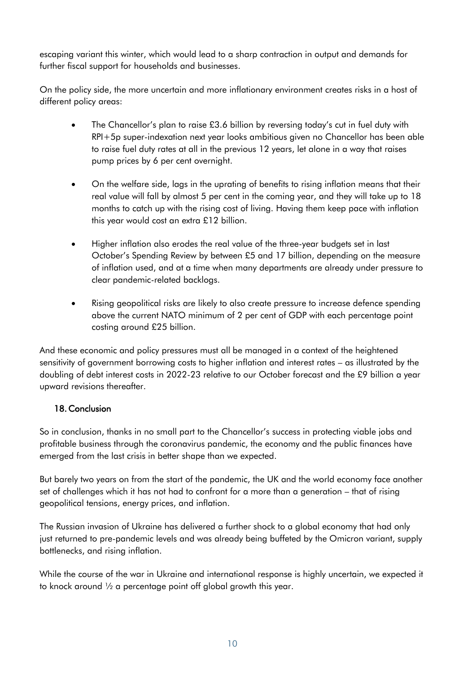escaping variant this winter, which would lead to a sharp contraction in output and demands for further fiscal support for households and businesses.

On the policy side, the more uncertain and more inflationary environment creates risks in a host of different policy areas:

- The Chancellor's plan to raise £3.6 billion by reversing today's cut in fuel duty with RPI+5p super-indexation next year looks ambitious given no Chancellor has been able to raise fuel duty rates at all in the previous 12 years, let alone in a way that raises pump prices by 6 per cent overnight.
- On the welfare side, lags in the uprating of benefits to rising inflation means that their real value will fall by almost 5 per cent in the coming year, and they will take up to 18 months to catch up with the rising cost of living. Having them keep pace with inflation this year would cost an extra £12 billion.
- Higher inflation also erodes the real value of the three-year budgets set in last October's Spending Review by between £5 and 17 billion, depending on the measure of inflation used, and at a time when many departments are already under pressure to clear pandemic-related backlogs.
- Rising geopolitical risks are likely to also create pressure to increase defence spending above the current NATO minimum of 2 per cent of GDP with each percentage point costing around £25 billion.

And these economic and policy pressures must all be managed in a context of the heightened sensitivity of government borrowing costs to higher inflation and interest rates – as illustrated by the doubling of debt interest costs in 2022-23 relative to our October forecast and the £9 billion a year upward revisions thereafter.

# 18. Conclusion

So in conclusion, thanks in no small part to the Chancellor's success in protecting viable jobs and profitable business through the coronavirus pandemic, the economy and the public finances have emerged from the last crisis in better shape than we expected.

But barely two years on from the start of the pandemic, the UK and the world economy face another set of challenges which it has not had to confront for a more than a generation – that of rising geopolitical tensions, energy prices, and inflation.

The Russian invasion of Ukraine has delivered a further shock to a global economy that had only just returned to pre-pandemic levels and was already being buffeted by the Omicron variant, supply bottlenecks, and rising inflation.

While the course of the war in Ukraine and international response is highly uncertain, we expected it to knock around ½ a percentage point off global growth this year.